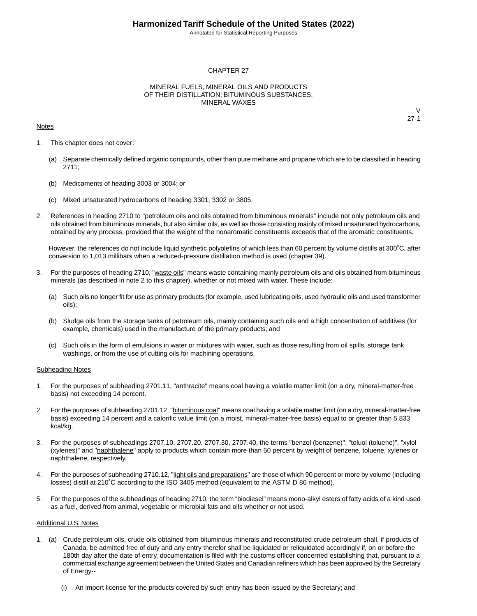Annotated for Statistical Reporting Purposes

#### CHAPTER 27

#### MINERAL FUELS, MINERAL OILS AND PRODUCTS OF THEIR DISTILLATION; BITUMINOUS SUBSTANCES; MINERAL WAXES

#### **Notes**

 $\vee$ 27-1

- 1. This chapter does not cover:
	- (a) Separate chemically defined organic compounds, other than pure methane and propane which are to be classified in heading 2711;
	- (b) Medicaments of heading 3003 or 3004; or
	- (c) Mixed unsaturated hydrocarbons of heading 3301, 3302 or 3805.
- 2. References in heading 2710 to "petroleum oils and oils obtained from bituminous minerals" include not only petroleum oils and oils obtained from bituminous minerals, but also similar oils, as well as those consisting mainly of mixed unsaturated hydrocarbons, obtained by any process, provided that the weight of the nonaromatic constituents exceeds that of the aromatic constituents.

However, the references do not include liquid synthetic polyolefins of which less than 60 percent by volume distills at 300˚C, after conversion to 1,013 millibars when a reduced-pressure distillation method is used (chapter 39).

- 3. For the purposes of heading 2710, "waste oils" means waste containing mainly petroleum oils and oils obtained from bituminous minerals (as described in note 2 to this chapter), whether or not mixed with water. These include:
	- (a) Such oils no longer fit for use as primary products (for example, used lubricating oils, used hydraulic oils and used transformer oils);
	- (b) Sludge oils from the storage tanks of petroleum oils, mainly containing such oils and a high concentration of additives (for example, chemicals) used in the manufacture of the primary products; and
	- (c) Such oils in the form of emulsions in water or mixtures with water, such as those resulting from oil spills, storage tank washings, or from the use of cutting oils for machining operations.

#### Subheading Notes

- 1. For the purposes of subheading 2701.11, "anthracite" means coal having a volatile matter limit (on a dry, mineral-matter-free basis) not exceeding 14 percent.
- 2. For the purposes of subheading 2701.12, "bituminous coal" means coal having a volatile matter limit (on a dry, mineral-matter-free basis) exceeding 14 percent and a calorific value limit (on a moist, mineral-matter-free basis) equal to or greater than 5,833 kcal/kg.
- 3. For the purposes of subheadings 2707.10, 2707.20, 2707.30, 2707.40, the terms "benzol (benzene)", "toluol (toluene)", "xylol (xylenes)" and "naphthalene" apply to products which contain more than 50 percent by weight of benzene, toluene, xylenes or naphthalene, respectively.
- 4. For the purposes of subheading 2710.12, "light oils and preparations" are those of which 90 percent or more by volume (including losses) distill at 210˚C according to the ISO 3405 method (equivalent to the ASTM D 86 method).
- 5. For the purposes of the subheadings of heading 2710, the term "biodiesel" means mono-alkyl esters of fatty acids of a kind used as a fuel, derived from animal, vegetable or microbial fats and oils whether or not used.

#### Additional U.S. Notes

- 1. (a) Crude petroleum oils, crude oils obtained from bituminous minerals and reconstituted crude petroleum shall, if products of Canada, be admitted free of duty and any entry therefor shall be liquidated or reliquidated accordingly if, on or before the 180th day after the date of entry, documentation is filed with the customs officer concerned establishing that, pursuant to a commercial exchange agreement between the United States and Canadian refiners which has been approved by the Secretary of Energy--
	- (i) An import license for the products covered by such entry has been issued by the Secretary; and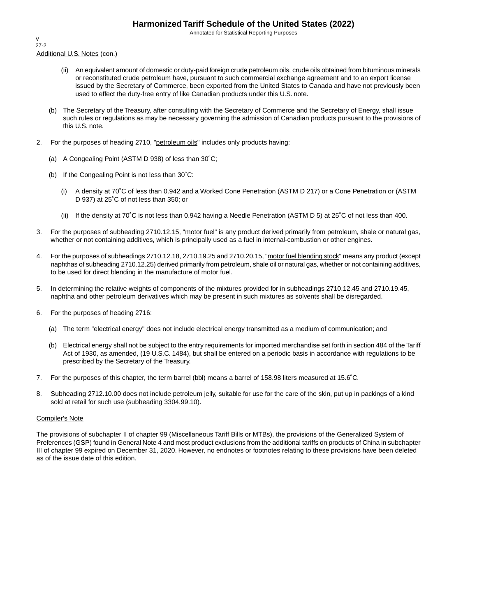Annotated for Statistical Reporting Purposes

Additional U.S. Notes (con.) V 27-2

- (ii) An equivalent amount of domestic or duty-paid foreign crude petroleum oils, crude oils obtained from bituminous minerals or reconstituted crude petroleum have, pursuant to such commercial exchange agreement and to an export license issued by the Secretary of Commerce, been exported from the United States to Canada and have not previously been used to effect the duty-free entry of like Canadian products under this U.S. note.
- (b) The Secretary of the Treasury, after consulting with the Secretary of Commerce and the Secretary of Energy, shall issue such rules or regulations as may be necessary governing the admission of Canadian products pursuant to the provisions of this U.S. note.
- 2. For the purposes of heading 2710, "petroleum oils" includes only products having:
	- (a) A Congealing Point (ASTM D 938) of less than 30˚C;
	- (b) If the Congealing Point is not less than 30˚C:
		- (i) A density at 70˚C of less than 0.942 and a Worked Cone Penetration (ASTM D 217) or a Cone Penetration or (ASTM D 937) at 25˚C of not less than 350; or
		- (ii) If the density at 70˚C is not less than 0.942 having a Needle Penetration (ASTM D 5) at 25˚C of not less than 400.
- 3. For the purposes of subheading 2710.12.15, "motor fuel" is any product derived primarily from petroleum, shale or natural gas, whether or not containing additives, which is principally used as a fuel in internal-combustion or other engines.
- 4. For the purposes of subheadings 2710.12.18, 2710.19.25 and 2710.20.15, "motor fuel blending stock" means any product (except naphthas of subheading 2710.12.25) derived primarily from petroleum, shale oil or natural gas, whether or not containing additives, to be used for direct blending in the manufacture of motor fuel.
- 5. In determining the relative weights of components of the mixtures provided for in subheadings 2710.12.45 and 2710.19.45, naphtha and other petroleum derivatives which may be present in such mixtures as solvents shall be disregarded.
- 6. For the purposes of heading 2716:
	- (a) The term "electrical energy" does not include electrical energy transmitted as a medium of communication; and
	- (b) Electrical energy shall not be subject to the entry requirements for imported merchandise set forth in section 484 of the Tariff Act of 1930, as amended, (19 U.S.C. 1484), but shall be entered on a periodic basis in accordance with regulations to be prescribed by the Secretary of the Treasury.
- 7. For the purposes of this chapter, the term barrel (bbl) means a barrel of 158.98 liters measured at 15.6˚C.
- 8. Subheading 2712.10.00 does not include petroleum jelly, suitable for use for the care of the skin, put up in packings of a kind sold at retail for such use (subheading 3304.99.10).

#### Compiler's Note

The provisions of subchapter II of chapter 99 (Miscellaneous Tariff Bills or MTBs), the provisions of the Generalized System of Preferences (GSP) found in General Note 4 and most product exclusions from the additional tariffs on products of China in subchapter III of chapter 99 expired on December 31, 2020. However, no endnotes or footnotes relating to these provisions have been deleted as of the issue date of this edition.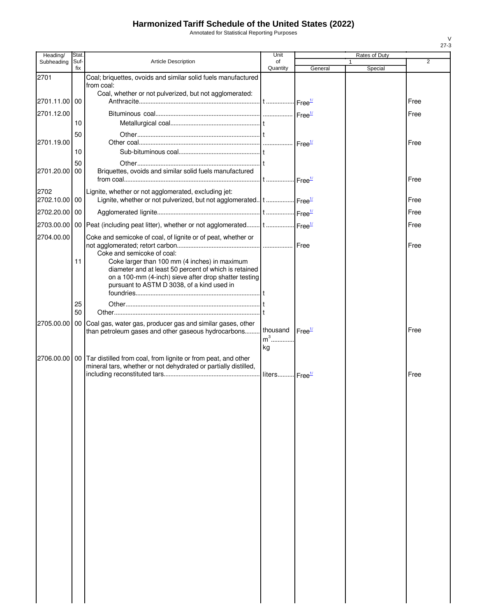Annotated for Statistical Reporting Purposes

| Heading/           | Stat.           |                                                                                                                                             | Unit                      |                    | Rates of Duty |                |
|--------------------|-----------------|---------------------------------------------------------------------------------------------------------------------------------------------|---------------------------|--------------------|---------------|----------------|
| Subheading         | Suf-<br>fix     | <b>Article Description</b>                                                                                                                  | of<br>Quantity            | General            | 1<br>Special  | $\overline{2}$ |
| 2701               |                 | Coal; briquettes, ovoids and similar solid fuels manufactured                                                                               |                           |                    |               |                |
|                    |                 | from coal:<br>Coal, whether or not pulverized, but not agglomerated:                                                                        |                           |                    |               |                |
| 2701.11.00 00      |                 |                                                                                                                                             |                           |                    |               | Free           |
| 2701.12.00         |                 |                                                                                                                                             |                           |                    |               | Free           |
|                    | 10              |                                                                                                                                             |                           |                    |               |                |
|                    | 50              |                                                                                                                                             |                           |                    |               |                |
| 2701.19.00         | 10              |                                                                                                                                             |                           |                    |               | Free           |
|                    | 50              |                                                                                                                                             |                           |                    |               |                |
| 2701.20.00         | 00              | Briquettes, ovoids and similar solid fuels manufactured                                                                                     |                           |                    |               |                |
|                    |                 |                                                                                                                                             |                           |                    |               | Free           |
| 2702<br>2702.10.00 | 00              | Lignite, whether or not agglomerated, excluding jet:<br>Lignite, whether or not pulverized, but not agglomerated.   t    Free <sup>1/</sup> |                           |                    |               | Free           |
|                    |                 |                                                                                                                                             |                           |                    |               |                |
| 2702.20.00 00      |                 |                                                                                                                                             |                           |                    |               | Free           |
| 2703.00.00         |                 | 00 Peat (including peat litter), whether or not agglomerated t  Free <sup>1/</sup>                                                          |                           |                    |               | Free           |
| 2704.00.00         |                 | Coke and semicoke of coal, of lignite or of peat, whether or                                                                                |                           |                    |               | Free           |
|                    |                 | Coke and semicoke of coal:                                                                                                                  |                           |                    |               |                |
|                    | 11              | Coke larger than 100 mm (4 inches) in maximum<br>diameter and at least 50 percent of which is retained                                      |                           |                    |               |                |
|                    |                 | on a 100-mm (4-inch) sieve after drop shatter testing                                                                                       |                           |                    |               |                |
|                    |                 | pursuant to ASTM D 3038, of a kind used in                                                                                                  |                           |                    |               |                |
|                    | 25              |                                                                                                                                             |                           |                    |               |                |
|                    | 50              |                                                                                                                                             |                           |                    |               |                |
| 2705.00.00         | 00 <sub>1</sub> | Coal gas, water gas, producer gas and similar gases, other                                                                                  |                           |                    |               |                |
|                    |                 | than petroleum gases and other gaseous hydrocarbons                                                                                         | thousand<br>$m3$          | Free <sup>1/</sup> |               | Free           |
|                    |                 |                                                                                                                                             | kg                        |                    |               |                |
| 2706.00.00         |                 | 00 Tar distilled from coal, from lignite or from peat, and other                                                                            |                           |                    |               |                |
|                    |                 | mineral tars, whether or not dehydrated or partially distilled,                                                                             | liters Free <sup>1/</sup> |                    |               | Free           |
|                    |                 |                                                                                                                                             |                           |                    |               |                |
|                    |                 |                                                                                                                                             |                           |                    |               |                |
|                    |                 |                                                                                                                                             |                           |                    |               |                |
|                    |                 |                                                                                                                                             |                           |                    |               |                |
|                    |                 |                                                                                                                                             |                           |                    |               |                |
|                    |                 |                                                                                                                                             |                           |                    |               |                |
|                    |                 |                                                                                                                                             |                           |                    |               |                |
|                    |                 |                                                                                                                                             |                           |                    |               |                |
|                    |                 |                                                                                                                                             |                           |                    |               |                |
|                    |                 |                                                                                                                                             |                           |                    |               |                |
|                    |                 |                                                                                                                                             |                           |                    |               |                |
|                    |                 |                                                                                                                                             |                           |                    |               |                |
|                    |                 |                                                                                                                                             |                           |                    |               |                |
|                    |                 |                                                                                                                                             |                           |                    |               |                |
|                    |                 |                                                                                                                                             |                           |                    |               |                |
|                    |                 |                                                                                                                                             |                           |                    |               |                |
|                    |                 |                                                                                                                                             |                           |                    |               |                |
|                    |                 |                                                                                                                                             |                           |                    |               |                |
|                    |                 |                                                                                                                                             |                           |                    |               |                |
|                    |                 |                                                                                                                                             |                           |                    |               |                |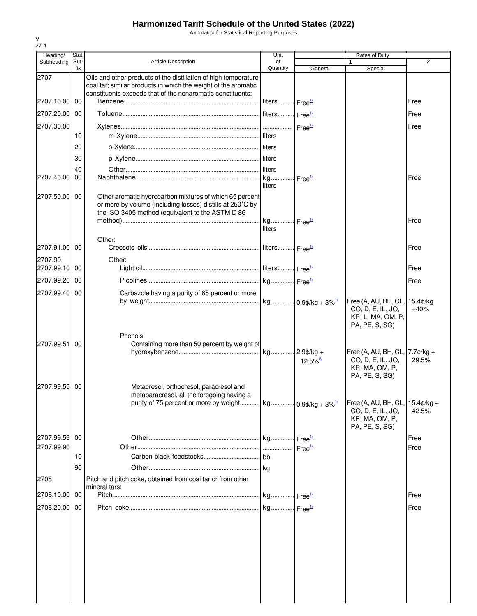Annotated for Statistical Reporting Purposes

| Heading/                    | Stat.       |                                                                                                                                                                          | Unit                      |                        | Rates of Duty                                                                                    |                |
|-----------------------------|-------------|--------------------------------------------------------------------------------------------------------------------------------------------------------------------------|---------------------------|------------------------|--------------------------------------------------------------------------------------------------|----------------|
| Subheading                  | Suf-<br>fix | <b>Article Description</b>                                                                                                                                               | of<br>Quantity            | General                | $\mathbf{1}$<br>Special                                                                          | $\overline{2}$ |
| 2707                        |             | Oils and other products of the distillation of high temperature<br>coal tar; similar products in which the weight of the aromatic                                        |                           |                        |                                                                                                  |                |
| 2707.10.00 00               |             | constituents exceeds that of the nonaromatic constituents:                                                                                                               | liters Free <sup>1/</sup> |                        |                                                                                                  | Free           |
| 2707.20.00 00               |             |                                                                                                                                                                          |                           |                        |                                                                                                  | Free           |
| 2707.30.00                  |             |                                                                                                                                                                          |                           |                        |                                                                                                  | Free           |
|                             | 10          |                                                                                                                                                                          |                           |                        |                                                                                                  |                |
|                             | 20          |                                                                                                                                                                          |                           |                        |                                                                                                  |                |
|                             | 30          |                                                                                                                                                                          |                           |                        |                                                                                                  |                |
|                             | 40          |                                                                                                                                                                          |                           |                        |                                                                                                  |                |
| 2707.40.00                  | 00          |                                                                                                                                                                          | liters                    | Free <sup>1/</sup>     |                                                                                                  | Free           |
| 2707.50.00 00               |             | Other aromatic hydrocarbon mixtures of which 65 percent<br>or more by volume (including losses) distills at 250°C by<br>the ISO 3405 method (equivalent to the ASTM D 86 |                           |                        |                                                                                                  | Free           |
|                             |             |                                                                                                                                                                          | liters                    |                        |                                                                                                  |                |
| 2707.91.00 00               |             | Other:                                                                                                                                                                   |                           |                        |                                                                                                  | Free           |
| 2707.99                     |             | Other:                                                                                                                                                                   |                           |                        |                                                                                                  |                |
| 2707.99.10 00               |             |                                                                                                                                                                          |                           |                        |                                                                                                  | Free           |
| 2707.99.20 00               |             |                                                                                                                                                                          |                           |                        |                                                                                                  | Free           |
| 2707.99.40 00               |             | Carbazole having a purity of 65 percent or more                                                                                                                          |                           |                        |                                                                                                  |                |
|                             |             |                                                                                                                                                                          |                           |                        | Free (A, AU, BH, CL, 15.4¢/kg<br>CO, D, E, IL, JO,<br>KR, L, MA, OM, P,<br>PA, PE, S, SG)        | $+40%$         |
| 2707.99.51                  | 00          | Phenols:<br>Containing more than 50 percent by weight of                                                                                                                 |                           | $12.5\%$ <sup>2/</sup> | Free (A, AU, BH, CL, $7.7$ $¢$ / $kg +$<br>CO, D, E, IL, JO,<br>KR, MA, OM, P,<br>PA, PE, S, SG) | 29.5%          |
| 2707.99.55 00               |             | Metacresol, orthocresol, paracresol and<br>metaparacresol, all the foregoing having a<br>purity of 75 percent or more by weight   kg   0.9¢/kg + 3% $\frac{1}{2}$        |                           |                        | Free (A, AU, BH, CL, 15.4¢/kg +<br>CO, D, E, IL, JO,<br>KR, MA, OM, P,                           | 42.5%          |
|                             |             |                                                                                                                                                                          |                           |                        | PA, PE, S, SG)                                                                                   |                |
| 2707.99.59 00<br>2707.99.90 |             |                                                                                                                                                                          |                           | Free <sup>1/</sup>     |                                                                                                  | Free<br>Free   |
|                             | 10          |                                                                                                                                                                          |                           |                        |                                                                                                  |                |
|                             | 90          |                                                                                                                                                                          |                           |                        |                                                                                                  |                |
| 2708                        |             | Pitch and pitch coke, obtained from coal tar or from other<br>mineral tars:                                                                                              |                           |                        |                                                                                                  |                |
| 2708.10.00 00               |             |                                                                                                                                                                          |                           |                        |                                                                                                  | Free           |
| 2708.20.00 00               |             |                                                                                                                                                                          |                           |                        |                                                                                                  | Free           |
|                             |             |                                                                                                                                                                          |                           |                        |                                                                                                  |                |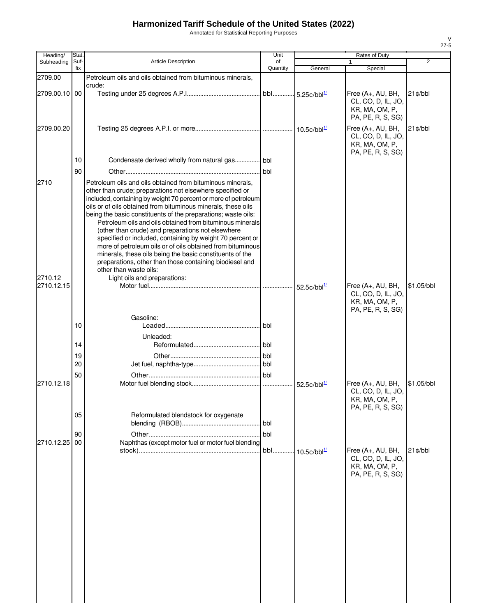Annotated for Statistical Reporting Purposes

| Heading/              | Stat. |                                                                                                                                                                                                                                                                                                                                                                                                                                                                                                                                                                                                                                                                                                                           | Unit       |                                         | Rates of Duty                                                                  |                |
|-----------------------|-------|---------------------------------------------------------------------------------------------------------------------------------------------------------------------------------------------------------------------------------------------------------------------------------------------------------------------------------------------------------------------------------------------------------------------------------------------------------------------------------------------------------------------------------------------------------------------------------------------------------------------------------------------------------------------------------------------------------------------------|------------|-----------------------------------------|--------------------------------------------------------------------------------|----------------|
| Subheading            | Suf-  | <b>Article Description</b>                                                                                                                                                                                                                                                                                                                                                                                                                                                                                                                                                                                                                                                                                                | of         |                                         |                                                                                | $\overline{2}$ |
| 2709.00               | fix   | Petroleum oils and oils obtained from bituminous minerals,                                                                                                                                                                                                                                                                                                                                                                                                                                                                                                                                                                                                                                                                | Quantity   | General                                 | Special                                                                        |                |
| 2709.00.10 00         |       | crude:                                                                                                                                                                                                                                                                                                                                                                                                                                                                                                                                                                                                                                                                                                                    |            |                                         | Free (A+, AU, BH,<br>CL, CO, D, IL, JO,<br>KR, MA, OM, P,<br>PA, PE, R, S, SG) | $21$ ¢/bbl     |
| 2709.00.20            |       |                                                                                                                                                                                                                                                                                                                                                                                                                                                                                                                                                                                                                                                                                                                           |            |                                         | Free (A+, AU, BH,<br>CL, CO, D, IL, JO,<br>KR, MA, OM, P,<br>PA, PE, R, S, SG) | $21$ ¢/bbl     |
|                       | 10    | Condensate derived wholly from natural gas bbl                                                                                                                                                                                                                                                                                                                                                                                                                                                                                                                                                                                                                                                                            |            |                                         |                                                                                |                |
|                       | 90    |                                                                                                                                                                                                                                                                                                                                                                                                                                                                                                                                                                                                                                                                                                                           |            |                                         |                                                                                |                |
| 2710                  |       | Petroleum oils and oils obtained from bituminous minerals,<br>other than crude; preparations not elsewhere specified or<br>included, containing by weight 70 percent or more of petroleum<br>oils or of oils obtained from bituminous minerals, these oils<br>being the basic constituents of the preparations; waste oils:<br>Petroleum oils and oils obtained from bituminous minerals<br>(other than crude) and preparations not elsewhere<br>specified or included, containing by weight 70 percent or<br>more of petroleum oils or of oils obtained from bituminous<br>minerals, these oils being the basic constituents of the<br>preparations, other than those containing biodiesel and<br>other than waste oils: |            |                                         |                                                                                |                |
| 2710.12<br>2710.12.15 |       | Light oils and preparations:                                                                                                                                                                                                                                                                                                                                                                                                                                                                                                                                                                                                                                                                                              |            | $52.5 \text{¢}$ /bbl $\frac{1}{2}$      | Free (A+, AU, BH,<br>CL, CO, D, IL, JO,<br>KR, MA, OM, P,<br>PA, PE, R, S, SG) | \$1.05/bbl     |
|                       |       | Gasoline:                                                                                                                                                                                                                                                                                                                                                                                                                                                                                                                                                                                                                                                                                                                 |            |                                         |                                                                                |                |
|                       | 10    |                                                                                                                                                                                                                                                                                                                                                                                                                                                                                                                                                                                                                                                                                                                           |            |                                         |                                                                                |                |
|                       | 14    | Unleaded:                                                                                                                                                                                                                                                                                                                                                                                                                                                                                                                                                                                                                                                                                                                 |            |                                         |                                                                                |                |
|                       | 19    |                                                                                                                                                                                                                                                                                                                                                                                                                                                                                                                                                                                                                                                                                                                           |            |                                         |                                                                                |                |
|                       | 20    |                                                                                                                                                                                                                                                                                                                                                                                                                                                                                                                                                                                                                                                                                                                           |            |                                         |                                                                                |                |
|                       | 50    |                                                                                                                                                                                                                                                                                                                                                                                                                                                                                                                                                                                                                                                                                                                           |            |                                         |                                                                                |                |
| 2710.12.18            |       |                                                                                                                                                                                                                                                                                                                                                                                                                                                                                                                                                                                                                                                                                                                           |            | $52.5 \text{c}/\text{bb}^{\frac{1}{2}}$ | Free (A+, AU, BH,<br>CL, CO, D, IL, JO,<br>KR, MA, OM, P,<br>PA, PE, R, S, SG) | \$1.05/bbl     |
|                       | 05    | Reformulated blendstock for oxygenate                                                                                                                                                                                                                                                                                                                                                                                                                                                                                                                                                                                                                                                                                     | <b>bbl</b> |                                         |                                                                                |                |
|                       | 90    |                                                                                                                                                                                                                                                                                                                                                                                                                                                                                                                                                                                                                                                                                                                           | bbl        |                                         |                                                                                |                |
| 2710.12.25            | 00    | Naphthas (except motor fuel or motor fuel blending                                                                                                                                                                                                                                                                                                                                                                                                                                                                                                                                                                                                                                                                        |            |                                         |                                                                                |                |
|                       |       |                                                                                                                                                                                                                                                                                                                                                                                                                                                                                                                                                                                                                                                                                                                           | bbl        | $10.5$ ¢/bbl $^{1/2}$                   | Free (A+, AU, BH,<br>CL, CO, D, IL, JO,<br>KR, MA, OM, P,<br>PA, PE, R, S, SG) | $21$ c/bbl     |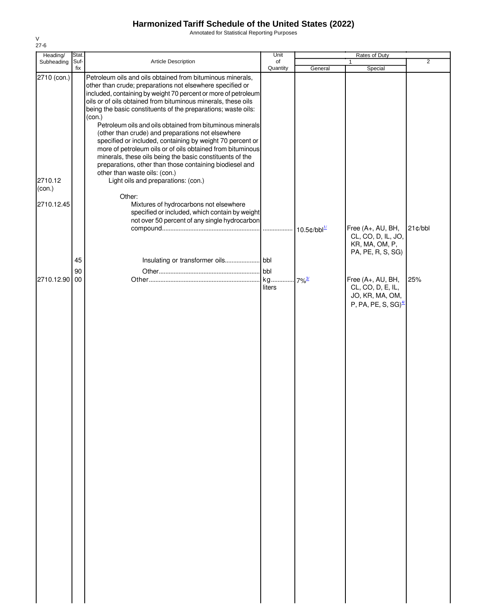Annotated for Statistical Reporting Purposes

| Heading/          | Stat. |                                                                                                                                                                                           | Unit     |                                   | Rates of Duty                                             |                |
|-------------------|-------|-------------------------------------------------------------------------------------------------------------------------------------------------------------------------------------------|----------|-----------------------------------|-----------------------------------------------------------|----------------|
| Subheading        | Suf-  | Article Description                                                                                                                                                                       | of       |                                   | $\mathbf{1}$                                              | $\overline{2}$ |
|                   | fix   |                                                                                                                                                                                           | Quantity | General                           | Special                                                   |                |
| 2710 (con.)       |       | Petroleum oils and oils obtained from bituminous minerals,<br>other than crude; preparations not elsewhere specified or<br>included, containing by weight 70 percent or more of petroleum |          |                                   |                                                           |                |
|                   |       | oils or of oils obtained from bituminous minerals, these oils<br>being the basic constituents of the preparations; waste oils:                                                            |          |                                   |                                                           |                |
|                   |       | (con.)<br>Petroleum oils and oils obtained from bituminous minerals<br>(other than crude) and preparations not elsewhere                                                                  |          |                                   |                                                           |                |
|                   |       | specified or included, containing by weight 70 percent or<br>more of petroleum oils or of oils obtained from bituminous                                                                   |          |                                   |                                                           |                |
|                   |       | minerals, these oils being the basic constituents of the<br>preparations, other than those containing biodiesel and<br>other than waste oils: (con.)                                      |          |                                   |                                                           |                |
| 2710.12<br>(con.) |       | Light oils and preparations: (con.)<br>Other:                                                                                                                                             |          |                                   |                                                           |                |
| 2710.12.45        |       | Mixtures of hydrocarbons not elsewhere<br>specified or included, which contain by weight                                                                                                  |          |                                   |                                                           |                |
|                   |       | not over 50 percent of any single hydrocarbon                                                                                                                                             |          |                                   | Free (A+, AU, BH,                                         | 21¢/bbl        |
|                   |       |                                                                                                                                                                                           |          | $10.5 \text{c/bbl}^{\frac{1}{2}}$ | CL, CO, D, IL, JO,<br>KR, MA, OM, P,<br>PA, PE, R, S, SG) |                |
|                   | 45    |                                                                                                                                                                                           |          |                                   |                                                           |                |
|                   | 90    |                                                                                                                                                                                           | bbl      |                                   |                                                           |                |
| 2710.12.90        | 00    |                                                                                                                                                                                           | kg       | $-7\%$ <sup>3/</sup>              | Free (A+, AU, BH,                                         | 25%            |
|                   |       |                                                                                                                                                                                           | liters   |                                   | CL, CO, D, E, IL,<br>JO, KR, MA, OM,                      |                |
|                   |       |                                                                                                                                                                                           |          |                                   | P, PA, PE, S, SG) $\frac{4}{3}$                           |                |
|                   |       |                                                                                                                                                                                           |          |                                   |                                                           |                |
|                   |       |                                                                                                                                                                                           |          |                                   |                                                           |                |
|                   |       |                                                                                                                                                                                           |          |                                   |                                                           |                |
|                   |       |                                                                                                                                                                                           |          |                                   |                                                           |                |
|                   |       |                                                                                                                                                                                           |          |                                   |                                                           |                |
|                   |       |                                                                                                                                                                                           |          |                                   |                                                           |                |
|                   |       |                                                                                                                                                                                           |          |                                   |                                                           |                |
|                   |       |                                                                                                                                                                                           |          |                                   |                                                           |                |
|                   |       |                                                                                                                                                                                           |          |                                   |                                                           |                |
|                   |       |                                                                                                                                                                                           |          |                                   |                                                           |                |
|                   |       |                                                                                                                                                                                           |          |                                   |                                                           |                |
|                   |       |                                                                                                                                                                                           |          |                                   |                                                           |                |
|                   |       |                                                                                                                                                                                           |          |                                   |                                                           |                |
|                   |       |                                                                                                                                                                                           |          |                                   |                                                           |                |
|                   |       |                                                                                                                                                                                           |          |                                   |                                                           |                |
|                   |       |                                                                                                                                                                                           |          |                                   |                                                           |                |
|                   |       |                                                                                                                                                                                           |          |                                   |                                                           |                |
|                   |       |                                                                                                                                                                                           |          |                                   |                                                           |                |
|                   |       |                                                                                                                                                                                           |          |                                   |                                                           |                |
|                   |       |                                                                                                                                                                                           |          |                                   |                                                           |                |
|                   |       |                                                                                                                                                                                           |          |                                   |                                                           |                |
|                   |       |                                                                                                                                                                                           |          |                                   |                                                           |                |
|                   |       |                                                                                                                                                                                           |          |                                   |                                                           |                |
|                   |       |                                                                                                                                                                                           |          |                                   |                                                           |                |
|                   |       |                                                                                                                                                                                           |          |                                   |                                                           |                |
|                   |       |                                                                                                                                                                                           |          |                                   |                                                           |                |
|                   |       |                                                                                                                                                                                           |          |                                   |                                                           |                |
|                   |       |                                                                                                                                                                                           |          |                                   |                                                           |                |
|                   |       |                                                                                                                                                                                           |          |                                   |                                                           |                |
|                   |       |                                                                                                                                                                                           |          |                                   |                                                           |                |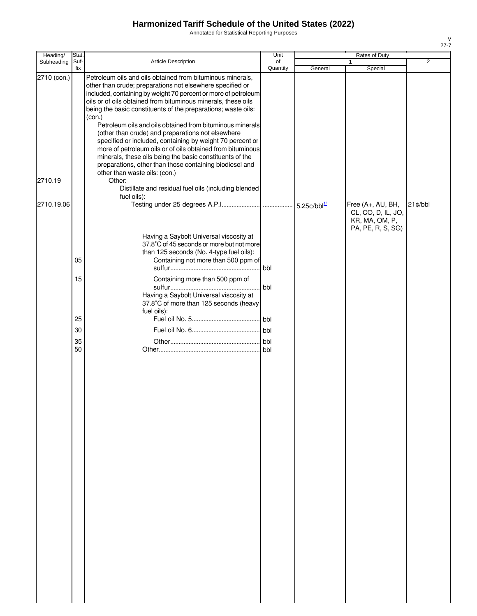Annotated for Statistical Reporting Purposes

| Heading/    | Stat.       |                                                                                                                                                                                                                                                                                                                                                                                                                                                         | Unit           |                                   | <b>Rates of Duty</b>                                                           |                |
|-------------|-------------|---------------------------------------------------------------------------------------------------------------------------------------------------------------------------------------------------------------------------------------------------------------------------------------------------------------------------------------------------------------------------------------------------------------------------------------------------------|----------------|-----------------------------------|--------------------------------------------------------------------------------|----------------|
| Subheading  | Suf-<br>fix | <b>Article Description</b>                                                                                                                                                                                                                                                                                                                                                                                                                              | of<br>Quantity | General                           | $\mathbf{1}$<br>Special                                                        | $\overline{2}$ |
| 2710 (con.) |             | Petroleum oils and oils obtained from bituminous minerals,<br>other than crude; preparations not elsewhere specified or<br>included, containing by weight 70 percent or more of petroleum<br>oils or of oils obtained from bituminous minerals, these oils<br>being the basic constituents of the preparations; waste oils:<br>(con.)<br>Petroleum oils and oils obtained from bituminous minerals<br>(other than crude) and preparations not elsewhere |                |                                   |                                                                                |                |
| 2710.19     |             | specified or included, containing by weight 70 percent or<br>more of petroleum oils or of oils obtained from bituminous<br>minerals, these oils being the basic constituents of the<br>preparations, other than those containing biodiesel and<br>other than waste oils: (con.)<br>Other:<br>Distillate and residual fuel oils (including blended                                                                                                       |                |                                   |                                                                                |                |
|             |             | fuel oils):                                                                                                                                                                                                                                                                                                                                                                                                                                             |                |                                   |                                                                                |                |
| 2710.19.06  |             |                                                                                                                                                                                                                                                                                                                                                                                                                                                         |                | 5.25 $\text{c/bbl}^{\frac{1}{2}}$ | Free (A+, AU, BH,<br>CL, CO, D, IL, JO,<br>KR, MA, OM, P,<br>PA, PE, R, S, SG) | $21$ c/bbl     |
|             | 05          | Having a Saybolt Universal viscosity at<br>37.8°C of 45 seconds or more but not more<br>than 125 seconds (No. 4-type fuel oils):<br>Containing not more than 500 ppm of                                                                                                                                                                                                                                                                                 | <b>I</b> bbl   |                                   |                                                                                |                |
|             | 15          | Containing more than 500 ppm of<br>Having a Saybolt Universal viscosity at<br>37.8°C of more than 125 seconds (heavy                                                                                                                                                                                                                                                                                                                                    | bbl            |                                   |                                                                                |                |
|             | 25          | fuel oils):                                                                                                                                                                                                                                                                                                                                                                                                                                             |                |                                   |                                                                                |                |
|             | 30          |                                                                                                                                                                                                                                                                                                                                                                                                                                                         | bbl            |                                   |                                                                                |                |
|             | 35          |                                                                                                                                                                                                                                                                                                                                                                                                                                                         | bbl            |                                   |                                                                                |                |
|             | 50          |                                                                                                                                                                                                                                                                                                                                                                                                                                                         |                |                                   |                                                                                |                |
|             |             |                                                                                                                                                                                                                                                                                                                                                                                                                                                         |                |                                   |                                                                                |                |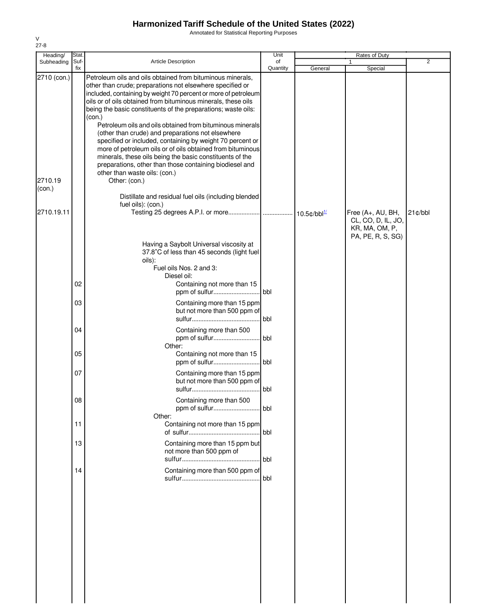Annotated for Statistical Reporting Purposes

| Heading/    | Stat.       |                                                                                                                                                                                                                                                                                                                                                                                                                                                                                                                                                                                                                                                                                                           | Unit           | Rates of Duty |                                         |            |  |
|-------------|-------------|-----------------------------------------------------------------------------------------------------------------------------------------------------------------------------------------------------------------------------------------------------------------------------------------------------------------------------------------------------------------------------------------------------------------------------------------------------------------------------------------------------------------------------------------------------------------------------------------------------------------------------------------------------------------------------------------------------------|----------------|---------------|-----------------------------------------|------------|--|
| Subheading  | Suf-<br>fix | <b>Article Description</b>                                                                                                                                                                                                                                                                                                                                                                                                                                                                                                                                                                                                                                                                                | of<br>Quantity |               |                                         | 2          |  |
| 2710 (con.) |             | Petroleum oils and oils obtained from bituminous minerals,<br>other than crude; preparations not elsewhere specified or<br>included, containing by weight 70 percent or more of petroleum<br>oils or of oils obtained from bituminous minerals, these oils<br>being the basic constituents of the preparations; waste oils:<br>(con.)<br>Petroleum oils and oils obtained from bituminous minerals<br>(other than crude) and preparations not elsewhere<br>specified or included, containing by weight 70 percent or<br>more of petroleum oils or of oils obtained from bituminous<br>minerals, these oils being the basic constituents of the<br>preparations, other than those containing biodiesel and |                | General       | Special                                 |            |  |
| 2710.19     |             | other than waste oils: (con.)<br>Other: (con.)                                                                                                                                                                                                                                                                                                                                                                                                                                                                                                                                                                                                                                                            |                |               |                                         |            |  |
| (con.)      |             |                                                                                                                                                                                                                                                                                                                                                                                                                                                                                                                                                                                                                                                                                                           |                |               |                                         |            |  |
| 2710.19.11  |             | Distillate and residual fuel oils (including blended<br>fuel oils): (con.)                                                                                                                                                                                                                                                                                                                                                                                                                                                                                                                                                                                                                                |                |               | Free (A+, AU, BH,<br>CL, CO, D, IL, JO, | $21$ ¢/bbl |  |
|             |             |                                                                                                                                                                                                                                                                                                                                                                                                                                                                                                                                                                                                                                                                                                           |                |               | KR, MA, OM, P,                          |            |  |
|             |             | Having a Saybolt Universal viscosity at<br>37.8°C of less than 45 seconds (light fuel<br>oils):<br>Fuel oils Nos. 2 and 3:                                                                                                                                                                                                                                                                                                                                                                                                                                                                                                                                                                                |                |               | PA, PE, R, S, SG)                       |            |  |
|             | 02          | Diesel oil:<br>Containing not more than 15                                                                                                                                                                                                                                                                                                                                                                                                                                                                                                                                                                                                                                                                |                |               |                                         |            |  |
|             | 03          | Containing more than 15 ppm<br>but not more than 500 ppm of                                                                                                                                                                                                                                                                                                                                                                                                                                                                                                                                                                                                                                               | .l bbl         |               |                                         |            |  |
|             | 04          | Containing more than 500                                                                                                                                                                                                                                                                                                                                                                                                                                                                                                                                                                                                                                                                                  | . bbl          |               |                                         |            |  |
|             | 05          | Other:<br>Containing not more than 15                                                                                                                                                                                                                                                                                                                                                                                                                                                                                                                                                                                                                                                                     | .lbbl          |               |                                         |            |  |
|             | 07          | Containing more than 15 ppm<br>but not more than 500 ppm of                                                                                                                                                                                                                                                                                                                                                                                                                                                                                                                                                                                                                                               |                |               |                                         |            |  |
|             | 80          | Containing more than 500<br>Other:                                                                                                                                                                                                                                                                                                                                                                                                                                                                                                                                                                                                                                                                        | bbl            |               |                                         |            |  |
|             | 11          | Containing not more than 15 ppm                                                                                                                                                                                                                                                                                                                                                                                                                                                                                                                                                                                                                                                                           | bbl            |               |                                         |            |  |
|             | 13          | Containing more than 15 ppm but<br>not more than 500 ppm of                                                                                                                                                                                                                                                                                                                                                                                                                                                                                                                                                                                                                                               | l bbl          |               |                                         |            |  |
|             | 14          | Containing more than 500 ppm of                                                                                                                                                                                                                                                                                                                                                                                                                                                                                                                                                                                                                                                                           | bbl            |               |                                         |            |  |
|             |             |                                                                                                                                                                                                                                                                                                                                                                                                                                                                                                                                                                                                                                                                                                           |                |               |                                         |            |  |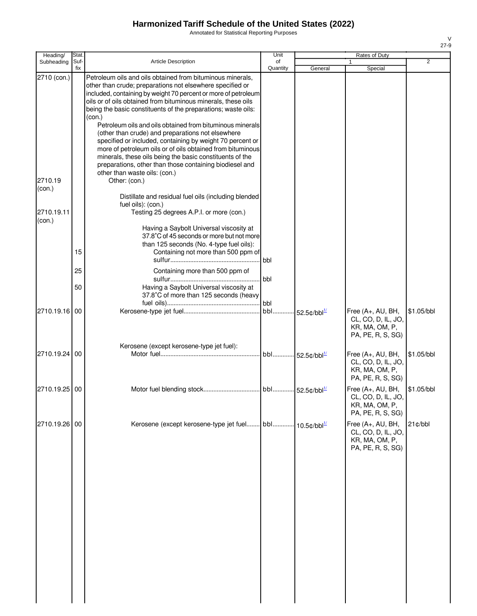Annotated for Statistical Reporting Purposes

| Heading/                         | Stat.       |                                                                                                                                                                                                                                                                                                                                                                                                                                                                                                                                                                                                                                                                                                                                                                                                                                           | Unit           |                             | Rates of Duty                                                                  |            |
|----------------------------------|-------------|-------------------------------------------------------------------------------------------------------------------------------------------------------------------------------------------------------------------------------------------------------------------------------------------------------------------------------------------------------------------------------------------------------------------------------------------------------------------------------------------------------------------------------------------------------------------------------------------------------------------------------------------------------------------------------------------------------------------------------------------------------------------------------------------------------------------------------------------|----------------|-----------------------------|--------------------------------------------------------------------------------|------------|
| Subheading                       | Suf-<br>fix | <b>Article Description</b>                                                                                                                                                                                                                                                                                                                                                                                                                                                                                                                                                                                                                                                                                                                                                                                                                | of<br>Quantity | General                     | Special                                                                        | 2          |
| 2710 (con.)<br>2710.19<br>(con.) |             | Petroleum oils and oils obtained from bituminous minerals,<br>other than crude; preparations not elsewhere specified or<br>included, containing by weight 70 percent or more of petroleum<br>oils or of oils obtained from bituminous minerals, these oils<br>being the basic constituents of the preparations; waste oils:<br>(con.)<br>Petroleum oils and oils obtained from bituminous minerals<br>(other than crude) and preparations not elsewhere<br>specified or included, containing by weight 70 percent or<br>more of petroleum oils or of oils obtained from bituminous<br>minerals, these oils being the basic constituents of the<br>preparations, other than those containing biodiesel and<br>other than waste oils: (con.)<br>Other: (con.)<br>Distillate and residual fuel oils (including blended<br>fuel oils): (con.) |                |                             |                                                                                |            |
| 2710.19.11<br>(con.)             |             | Testing 25 degrees A.P.I. or more (con.)<br>Having a Saybolt Universal viscosity at                                                                                                                                                                                                                                                                                                                                                                                                                                                                                                                                                                                                                                                                                                                                                       |                |                             |                                                                                |            |
|                                  | 15          | 37.8°C of 45 seconds or more but not more<br>than 125 seconds (No. 4-type fuel oils):<br>Containing not more than 500 ppm of                                                                                                                                                                                                                                                                                                                                                                                                                                                                                                                                                                                                                                                                                                              | bbl            |                             |                                                                                |            |
|                                  | 25          | Containing more than 500 ppm of                                                                                                                                                                                                                                                                                                                                                                                                                                                                                                                                                                                                                                                                                                                                                                                                           | bbl            |                             |                                                                                |            |
|                                  | 50          | Having a Saybolt Universal viscosity at<br>37.8°C of more than 125 seconds (heavy                                                                                                                                                                                                                                                                                                                                                                                                                                                                                                                                                                                                                                                                                                                                                         | l bbl          |                             |                                                                                |            |
| 2710.19.16                       | 00          |                                                                                                                                                                                                                                                                                                                                                                                                                                                                                                                                                                                                                                                                                                                                                                                                                                           | bbl            | $52.5$ ¢/bbl $^{1/2}$       | Free (A+, AU, BH,<br>CL, CO, D, IL, JO,<br>KR, MA, OM, P,<br>PA, PE, R, S, SG) | \$1.05/bbl |
| 2710.19.24                       | 00          | Kerosene (except kerosene-type jet fuel):                                                                                                                                                                                                                                                                                                                                                                                                                                                                                                                                                                                                                                                                                                                                                                                                 |                | bbl 52.5¢/bbl <sup>1/</sup> | Free (A+, AU, BH,<br>CL, CO, D, IL, JO,<br>KR, MA, OM, P,<br>PA, PE, R, S, SG) | \$1.05/bbl |
| 2710.19.25                       | 00          |                                                                                                                                                                                                                                                                                                                                                                                                                                                                                                                                                                                                                                                                                                                                                                                                                                           |                |                             | Free (A+, AU, BH,<br>CL, CO, D, IL, JO,<br>KR, MA, OM, P,<br>PA, PE, R, S, SG) | \$1.05/bbl |
| 2710.19.26 00                    |             | Kerosene (except kerosene-type jet fuel bbl 10.5¢/bbl <sup>1/2</sup>                                                                                                                                                                                                                                                                                                                                                                                                                                                                                                                                                                                                                                                                                                                                                                      |                |                             | Free (A+, AU, BH,<br>CL, CO, D, IL, JO,<br>KR, MA, OM, P,<br>PA, PE, R, S, SG) | $21$ ¢/bbl |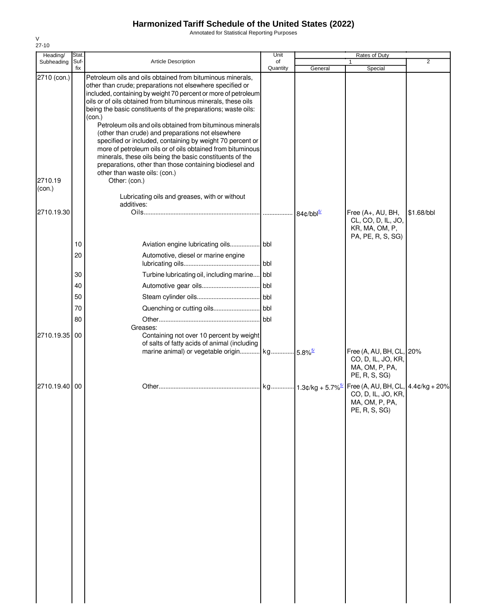Annotated for Statistical Reporting Purposes

| Heading/                         | Stat.       |                                                                                                                                                                                                                                                                                                                                                                                                                                                                                                                                                                                                                                                                                                                                                             | Unit           |                         | Rates of Duty                                                                     |                |
|----------------------------------|-------------|-------------------------------------------------------------------------------------------------------------------------------------------------------------------------------------------------------------------------------------------------------------------------------------------------------------------------------------------------------------------------------------------------------------------------------------------------------------------------------------------------------------------------------------------------------------------------------------------------------------------------------------------------------------------------------------------------------------------------------------------------------------|----------------|-------------------------|-----------------------------------------------------------------------------------|----------------|
| Subheading                       | Suf-<br>fix | <b>Article Description</b>                                                                                                                                                                                                                                                                                                                                                                                                                                                                                                                                                                                                                                                                                                                                  | of<br>Quantity | General                 | 1<br>Special                                                                      | $\overline{2}$ |
| 2710 (con.)<br>2710.19<br>(con.) |             | Petroleum oils and oils obtained from bituminous minerals,<br>other than crude; preparations not elsewhere specified or<br>included, containing by weight 70 percent or more of petroleum<br>oils or of oils obtained from bituminous minerals, these oils<br>being the basic constituents of the preparations; waste oils:<br>(con.)<br>Petroleum oils and oils obtained from bituminous minerals<br>(other than crude) and preparations not elsewhere<br>specified or included, containing by weight 70 percent or<br>more of petroleum oils or of oils obtained from bituminous<br>minerals, these oils being the basic constituents of the<br>preparations, other than those containing biodiesel and<br>other than waste oils: (con.)<br>Other: (con.) |                |                         |                                                                                   |                |
|                                  |             | Lubricating oils and greases, with or without                                                                                                                                                                                                                                                                                                                                                                                                                                                                                                                                                                                                                                                                                                               |                |                         |                                                                                   |                |
| 2710.19.30                       |             | additives:                                                                                                                                                                                                                                                                                                                                                                                                                                                                                                                                                                                                                                                                                                                                                  |                | $84¢/bbl^{\frac{5}{2}}$ | Free (A+, AU, BH,<br>CL, CO, D, IL, JO,<br>KR, MA, OM, P,                         | \$1.68/bbl     |
|                                  |             |                                                                                                                                                                                                                                                                                                                                                                                                                                                                                                                                                                                                                                                                                                                                                             |                |                         | PA, PE, R, S, SG)                                                                 |                |
|                                  | 10<br>20    | Aviation engine lubricating oils bbl<br>Automotive, diesel or marine engine                                                                                                                                                                                                                                                                                                                                                                                                                                                                                                                                                                                                                                                                                 |                |                         |                                                                                   |                |
|                                  | 30          | Turbine lubricating oil, including marine                                                                                                                                                                                                                                                                                                                                                                                                                                                                                                                                                                                                                                                                                                                   | bbl            |                         |                                                                                   |                |
|                                  | 40          |                                                                                                                                                                                                                                                                                                                                                                                                                                                                                                                                                                                                                                                                                                                                                             | bbl            |                         |                                                                                   |                |
|                                  | 50          |                                                                                                                                                                                                                                                                                                                                                                                                                                                                                                                                                                                                                                                                                                                                                             |                |                         |                                                                                   |                |
|                                  | 70          |                                                                                                                                                                                                                                                                                                                                                                                                                                                                                                                                                                                                                                                                                                                                                             |                |                         |                                                                                   |                |
|                                  | 80          |                                                                                                                                                                                                                                                                                                                                                                                                                                                                                                                                                                                                                                                                                                                                                             | bbl            |                         |                                                                                   |                |
| 2710.19.35                       | 00          | Greases:<br>Containing not over 10 percent by weight<br>of salts of fatty acids of animal (including<br>marine animal) or vegetable origin kg 5.8% <sup>5/</sup>                                                                                                                                                                                                                                                                                                                                                                                                                                                                                                                                                                                            |                |                         | Free (A, AU, BH, CL, 20%<br>CO, D, IL, JO, KR,<br>MA, OM, P, PA,<br>PE, R, S, SG) |                |
| 2710.19.40 00                    |             |                                                                                                                                                                                                                                                                                                                                                                                                                                                                                                                                                                                                                                                                                                                                                             |                |                         | CO, D, IL, JO, KR,<br>MA, OM, P, PA,<br>PE, R, S, SG)                             |                |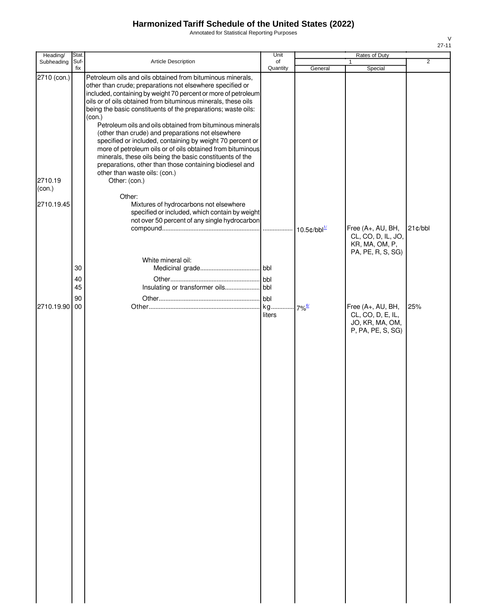Annotated for Statistical Reporting Purposes

| Heading/    | Stat.                |                                                                                                                                                                                                                                                                                                                                                                                                                    | Unit           |                                   | Rates of Duty                                                                  |                |
|-------------|----------------------|--------------------------------------------------------------------------------------------------------------------------------------------------------------------------------------------------------------------------------------------------------------------------------------------------------------------------------------------------------------------------------------------------------------------|----------------|-----------------------------------|--------------------------------------------------------------------------------|----------------|
| Subheading  | Suf-<br>fix          | Article Description                                                                                                                                                                                                                                                                                                                                                                                                | of<br>Quantity | General                           | Special                                                                        | $\overline{2}$ |
| 2710 (con.) |                      | Petroleum oils and oils obtained from bituminous minerals,<br>other than crude; preparations not elsewhere specified or<br>included, containing by weight 70 percent or more of petroleum<br>oils or of oils obtained from bituminous minerals, these oils<br>being the basic constituents of the preparations; waste oils:<br>(con.)                                                                              |                |                                   |                                                                                |                |
| 2710.19     |                      | Petroleum oils and oils obtained from bituminous minerals<br>(other than crude) and preparations not elsewhere<br>specified or included, containing by weight 70 percent or<br>more of petroleum oils or of oils obtained from bituminous<br>minerals, these oils being the basic constituents of the<br>preparations, other than those containing biodiesel and<br>other than waste oils: (con.)<br>Other: (con.) |                |                                   |                                                                                |                |
| (con.)      |                      |                                                                                                                                                                                                                                                                                                                                                                                                                    |                |                                   |                                                                                |                |
| 2710.19.45  |                      | Other:<br>Mixtures of hydrocarbons not elsewhere<br>specified or included, which contain by weight<br>not over 50 percent of any single hydrocarbon                                                                                                                                                                                                                                                                |                | $10.5 \text{c/bbl}^{\frac{1}{2}}$ | Free (A+, AU, BH,                                                              | $21$ ¢/bbl     |
|             |                      | White mineral oil:                                                                                                                                                                                                                                                                                                                                                                                                 |                |                                   | CL, CO, D, IL, JO,<br>KR, MA, OM, P,<br>PA, PE, R, S, SG)                      |                |
|             | 30<br>40<br>45<br>90 |                                                                                                                                                                                                                                                                                                                                                                                                                    | bbl            |                                   |                                                                                |                |
| 2710.19.90  | 00                   |                                                                                                                                                                                                                                                                                                                                                                                                                    | kg<br>liters   | $7\%$ <sup>6/</sup>               | Free (A+, AU, BH,<br>CL, CO, D, E, IL,<br>JO, KR, MA, OM,<br>P, PA, PE, S, SG) | 25%            |
|             |                      |                                                                                                                                                                                                                                                                                                                                                                                                                    |                |                                   |                                                                                |                |
|             |                      |                                                                                                                                                                                                                                                                                                                                                                                                                    |                |                                   |                                                                                |                |
|             |                      |                                                                                                                                                                                                                                                                                                                                                                                                                    |                |                                   |                                                                                |                |
|             |                      |                                                                                                                                                                                                                                                                                                                                                                                                                    |                |                                   |                                                                                |                |
|             |                      |                                                                                                                                                                                                                                                                                                                                                                                                                    |                |                                   |                                                                                |                |
|             |                      |                                                                                                                                                                                                                                                                                                                                                                                                                    |                |                                   |                                                                                |                |
|             |                      |                                                                                                                                                                                                                                                                                                                                                                                                                    |                |                                   |                                                                                |                |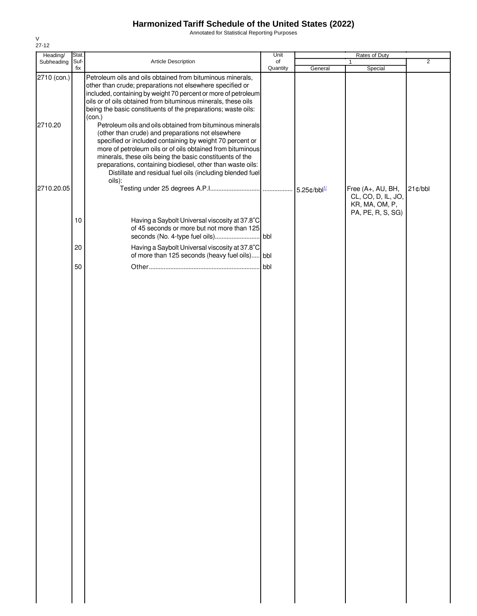Annotated for Statistical Reporting Purposes

| Heading/               | Stat.       |                                                                                                                                                                                                                                                                                                                                                                                                                                                                                                                                                                                                                                                                                                                                                                          | Unit           |                       | Rates of Duty                                                                  |                |
|------------------------|-------------|--------------------------------------------------------------------------------------------------------------------------------------------------------------------------------------------------------------------------------------------------------------------------------------------------------------------------------------------------------------------------------------------------------------------------------------------------------------------------------------------------------------------------------------------------------------------------------------------------------------------------------------------------------------------------------------------------------------------------------------------------------------------------|----------------|-----------------------|--------------------------------------------------------------------------------|----------------|
| Subheading             | Suf-<br>fix | Article Description                                                                                                                                                                                                                                                                                                                                                                                                                                                                                                                                                                                                                                                                                                                                                      | of<br>Quantity | General               | Special                                                                        | $\overline{2}$ |
| 2710 (con.)<br>2710.20 |             | Petroleum oils and oils obtained from bituminous minerals,<br>other than crude; preparations not elsewhere specified or<br>included, containing by weight 70 percent or more of petroleum<br>oils or of oils obtained from bituminous minerals, these oils<br>being the basic constituents of the preparations; waste oils:<br>(con.)<br>Petroleum oils and oils obtained from bituminous minerals<br>(other than crude) and preparations not elsewhere<br>specified or included containing by weight 70 percent or<br>more of petroleum oils or of oils obtained from bituminous<br>minerals, these oils being the basic constituents of the<br>preparations, containing biodiesel, other than waste oils:<br>Distillate and residual fuel oils (including blended fuel |                |                       |                                                                                |                |
|                        |             | oils):                                                                                                                                                                                                                                                                                                                                                                                                                                                                                                                                                                                                                                                                                                                                                                   |                |                       |                                                                                |                |
| 2710.20.05             | 10          | Having a Saybolt Universal viscosity at 37.8°C<br>of 45 seconds or more but not more than 125                                                                                                                                                                                                                                                                                                                                                                                                                                                                                                                                                                                                                                                                            |                | $5.25$ ¢/bbl $^{1/2}$ | Free (A+, AU, BH,<br>CL, CO, D, IL, JO,<br>KR, MA, OM, P,<br>PA, PE, R, S, SG) | $21$ ¢/bbl     |
|                        | 20          | Having a Saybolt Universal viscosity at 37.8°C                                                                                                                                                                                                                                                                                                                                                                                                                                                                                                                                                                                                                                                                                                                           |                |                       |                                                                                |                |
|                        | 50          | of more than 125 seconds (heavy fuel oils) bbl                                                                                                                                                                                                                                                                                                                                                                                                                                                                                                                                                                                                                                                                                                                           | bbl            |                       |                                                                                |                |
|                        |             |                                                                                                                                                                                                                                                                                                                                                                                                                                                                                                                                                                                                                                                                                                                                                                          |                |                       |                                                                                |                |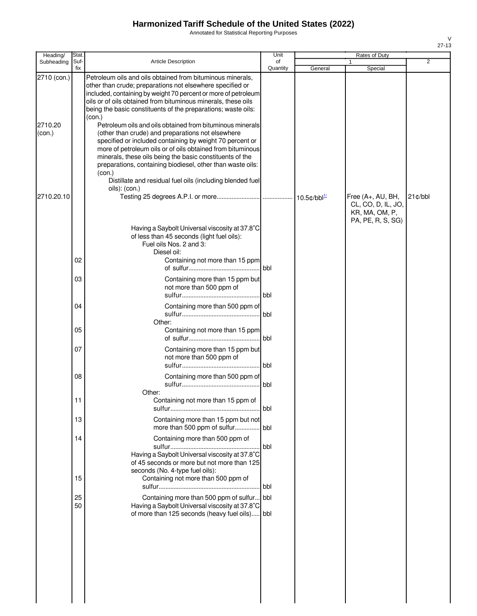Annotated for Statistical Reporting Purposes

| Heading/                         | Stat.          |                                                                                                                                                                                                                                                                                                                                                                                                                                                                                                                     | Unit           |         | Rates of Duty                           |            |
|----------------------------------|----------------|---------------------------------------------------------------------------------------------------------------------------------------------------------------------------------------------------------------------------------------------------------------------------------------------------------------------------------------------------------------------------------------------------------------------------------------------------------------------------------------------------------------------|----------------|---------|-----------------------------------------|------------|
| Subheading                       | Suf-<br>fix    | <b>Article Description</b>                                                                                                                                                                                                                                                                                                                                                                                                                                                                                          | of<br>Quantity | General | Special                                 | 2          |
| 2710 (con.)<br>2710.20<br>(con.) |                | Petroleum oils and oils obtained from bituminous minerals,<br>other than crude; preparations not elsewhere specified or<br>included, containing by weight 70 percent or more of petroleum<br>oils or of oils obtained from bituminous minerals, these oils<br>being the basic constituents of the preparations; waste oils:<br>(con.)<br>Petroleum oils and oils obtained from bituminous minerals<br>(other than crude) and preparations not elsewhere<br>specified or included containing by weight 70 percent or |                |         |                                         |            |
| 2710.20.10                       |                | more of petroleum oils or of oils obtained from bituminous<br>minerals, these oils being the basic constituents of the<br>preparations, containing biodiesel, other than waste oils:<br>(con.)<br>Distillate and residual fuel oils (including blended fuel<br>oils): (con.)                                                                                                                                                                                                                                        |                |         | Free (A+, AU, BH,<br>CL, CO, D, IL, JO, | $21$ ¢/bbl |
|                                  | 02             | Having a Saybolt Universal viscosity at 37.8°C<br>of less than 45 seconds (light fuel oils):<br>Fuel oils Nos. 2 and 3:<br>Diesel oil:<br>Containing not more than 15 ppm                                                                                                                                                                                                                                                                                                                                           | l bbl          |         | KR, MA, OM, P,<br>PA, PE, R, S, SG)     |            |
|                                  | 03             | Containing more than 15 ppm but<br>not more than 500 ppm of                                                                                                                                                                                                                                                                                                                                                                                                                                                         | bbl            |         |                                         |            |
|                                  | 04             | Containing more than 500 ppm of                                                                                                                                                                                                                                                                                                                                                                                                                                                                                     | <b>I</b> bbl   |         |                                         |            |
|                                  | 05             | Other:<br>Containing not more than 15 ppm                                                                                                                                                                                                                                                                                                                                                                                                                                                                           | l bbl.         |         |                                         |            |
|                                  | 07             | Containing more than 15 ppm but<br>not more than 500 ppm of                                                                                                                                                                                                                                                                                                                                                                                                                                                         | bbl            |         |                                         |            |
|                                  | 08             | Containing more than 500 ppm of                                                                                                                                                                                                                                                                                                                                                                                                                                                                                     | <b>bbl</b>     |         |                                         |            |
|                                  | 11             | Other:<br>Containing not more than 15 ppm of                                                                                                                                                                                                                                                                                                                                                                                                                                                                        | <b>I</b> bbl   |         |                                         |            |
|                                  | 13             | Containing more than 15 ppm but not<br>more than 500 ppm of sulfur bbl                                                                                                                                                                                                                                                                                                                                                                                                                                              |                |         |                                         |            |
|                                  | 14             | Containing more than 500 ppm of<br>Having a Saybolt Universal viscosity at 37.8°C<br>of 45 seconds or more but not more than 125<br>seconds (No. 4-type fuel oils):                                                                                                                                                                                                                                                                                                                                                 | bbl            |         |                                         |            |
|                                  | 15<br>25<br>50 | Containing not more than 500 ppm of<br>Containing more than 500 ppm of sulfur bbl<br>Having a Saybolt Universal viscosity at 37.8°C<br>of more than 125 seconds (heavy fuel oils) bbl                                                                                                                                                                                                                                                                                                                               | bbl            |         |                                         |            |
|                                  |                |                                                                                                                                                                                                                                                                                                                                                                                                                                                                                                                     |                |         |                                         |            |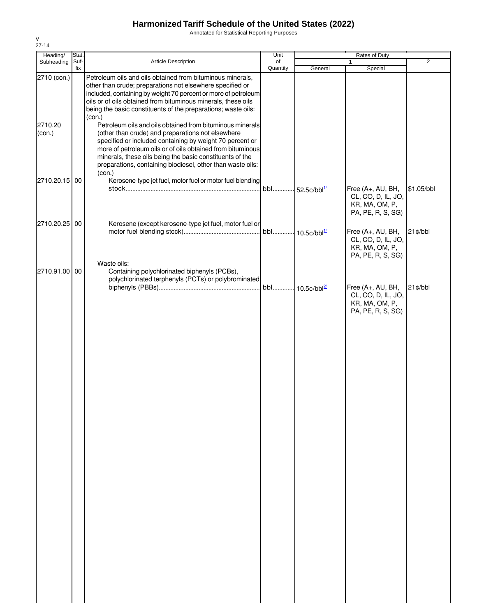Annotated for Statistical Reporting Purposes

| Heading/          | Stat.       |                                                                                                                                                                                                                                                                                                                                                                              | Unit           |                             | Rates of Duty                                                                  |                |
|-------------------|-------------|------------------------------------------------------------------------------------------------------------------------------------------------------------------------------------------------------------------------------------------------------------------------------------------------------------------------------------------------------------------------------|----------------|-----------------------------|--------------------------------------------------------------------------------|----------------|
| Subheading        | Suf-<br>fix | Article Description                                                                                                                                                                                                                                                                                                                                                          | of<br>Quantity | General                     | 1<br>Special                                                                   | $\overline{2}$ |
| 2710 (con.)       |             | Petroleum oils and oils obtained from bituminous minerals,<br>other than crude; preparations not elsewhere specified or<br>included, containing by weight 70 percent or more of petroleum<br>oils or of oils obtained from bituminous minerals, these oils<br>being the basic constituents of the preparations; waste oils:<br>(con.)                                        |                |                             |                                                                                |                |
| 2710.20<br>(con.) |             | Petroleum oils and oils obtained from bituminous minerals<br>(other than crude) and preparations not elsewhere<br>specified or included containing by weight 70 percent or<br>more of petroleum oils or of oils obtained from bituminous<br>minerals, these oils being the basic constituents of the<br>preparations, containing biodiesel, other than waste oils:<br>(con.) |                |                             |                                                                                |                |
| 2710.20.15 00     |             | Kerosene-type jet fuel, motor fuel or motor fuel blending                                                                                                                                                                                                                                                                                                                    | bbl            | $-52.5$ ¢/bbl $^{1/2}$      | Free (A+, AU, BH,<br>CL, CO, D, IL, JO,<br>KR, MA, OM, P,<br>PA, PE, R, S, SG) | \$1.05/bbl     |
| 2710.20.25        | 00          | Kerosene (except kerosene-type jet fuel, motor fuel or                                                                                                                                                                                                                                                                                                                       |                | bbl 10.5¢/bbl <sup>1/</sup> | Free (A+, AU, BH,<br>CL, CO, D, IL, JO,<br>KR, MA, OM, P,<br>PA, PE, R, S, SG) | $21$ ¢/bbl     |
| 2710.91.00 00     |             | Waste oils:<br>Containing polychlorinated biphenyls (PCBs),<br>polychlorinated terphenyls (PCTs) or polybrominated                                                                                                                                                                                                                                                           |                | bbl 10.5¢/bbl <sup>2/</sup> | Free (A+, AU, BH,                                                              | 21¢/bbl        |
|                   |             |                                                                                                                                                                                                                                                                                                                                                                              |                |                             | CL, CO, D, IL, JO,<br>KR, MA, OM, P,<br>PA, PE, R, S, SG)                      |                |
|                   |             |                                                                                                                                                                                                                                                                                                                                                                              |                |                             |                                                                                |                |
|                   |             |                                                                                                                                                                                                                                                                                                                                                                              |                |                             |                                                                                |                |
|                   |             |                                                                                                                                                                                                                                                                                                                                                                              |                |                             |                                                                                |                |
|                   |             |                                                                                                                                                                                                                                                                                                                                                                              |                |                             |                                                                                |                |
|                   |             |                                                                                                                                                                                                                                                                                                                                                                              |                |                             |                                                                                |                |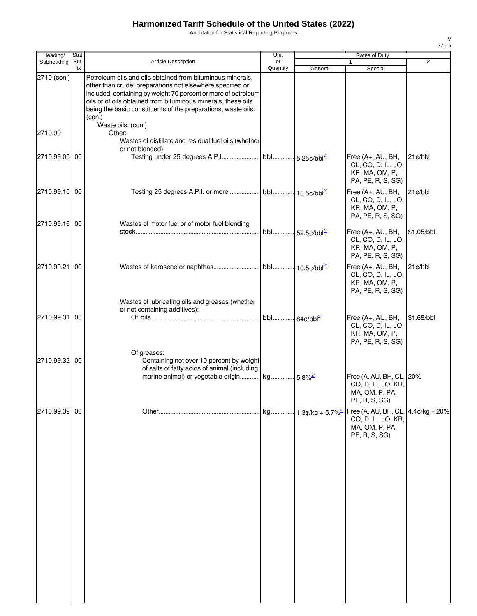Annotated for Statistical Reporting Purposes

| Heading/      | <b>Stat</b> |                                                                                                                                                                                                                                                                                                                                       | Unit                        |                                 | Rates of Duty                                                                                                  |            |
|---------------|-------------|---------------------------------------------------------------------------------------------------------------------------------------------------------------------------------------------------------------------------------------------------------------------------------------------------------------------------------------|-----------------------------|---------------------------------|----------------------------------------------------------------------------------------------------------------|------------|
| Subheading    | Suf-<br>fix | <b>Article Description</b>                                                                                                                                                                                                                                                                                                            | of<br>Quantity              | General                         | 1<br>Special                                                                                                   | 2          |
| 2710 (con.)   |             | Petroleum oils and oils obtained from bituminous minerals,<br>other than crude; preparations not elsewhere specified or<br>included, containing by weight 70 percent or more of petroleum<br>oils or of oils obtained from bituminous minerals, these oils<br>being the basic constituents of the preparations; waste oils:<br>(con.) |                             |                                 |                                                                                                                |            |
| 2710.99       |             | Waste oils: (con.)<br>Other:<br>Wastes of distillate and residual fuel oils (whether<br>or not blended):                                                                                                                                                                                                                              |                             |                                 |                                                                                                                |            |
| 2710.99.05 00 |             |                                                                                                                                                                                                                                                                                                                                       |                             |                                 | Free (A+, AU, BH,<br>CL, CO, D, IL, JO,<br>KR, MA, OM, P,<br>PA, PE, R, S, SG)                                 | $21$ ¢/bbl |
| 2710.99.10 00 |             |                                                                                                                                                                                                                                                                                                                                       |                             |                                 | Free (A+, AU, BH,<br>CL, CO, D, IL, JO,<br>KR, MA, OM, P,<br>PA, PE, R, S, SG)                                 | 21¢/bbl    |
| 2710.99.16 00 |             | Wastes of motor fuel or of motor fuel blending                                                                                                                                                                                                                                                                                        | bbl 52.5¢/bbl <sup>2/</sup> |                                 | Free (A+, AU, BH,<br>CL, CO, D, IL, JO,<br>KR, MA, OM, P,<br>PA, PE, R, S, SG)                                 | \$1.05/bbl |
| 2710.99.21 00 |             |                                                                                                                                                                                                                                                                                                                                       |                             |                                 | Free (A+, AU, BH,<br>CL, CO, D, IL, JO,<br>KR, MA, OM, P,<br>PA, PE, R, S, SG)                                 | 21¢/bbl    |
| 2710.99.31 00 |             | Wastes of lubricating oils and greases (whether<br>or not containing additives):                                                                                                                                                                                                                                                      |                             |                                 | Free $(A+, AU, BH,$<br>CL, CO, D, IL, JO,<br>KR, MA, OM, P,<br>PA, PE, R, S, SG)                               | \$1.68/bbl |
| 2710.99.32 00 |             | Of greases:<br>Containing not over 10 percent by weight<br>of salts of fatty acids of animal (including<br>marine animal) or vegetable origin kg 5.8% <sup>2/</sup>                                                                                                                                                                   |                             |                                 | Free (A, AU, BH, CL, 20%<br>CO, D, IL, JO, KR,<br>MA, OM, P, PA,                                               |            |
| 2710.99.39 00 |             |                                                                                                                                                                                                                                                                                                                                       |                             | kg 1.3¢/kg + 5.7% <sup>2/</sup> | PE, R, S, SG)<br>Free (A, AU, BH, CL, $4.4¢/kg + 20%$<br>CO, D, IL, JO, KR,<br>MA, OM, P, PA,<br>PE, R, S, SG) |            |
|               |             |                                                                                                                                                                                                                                                                                                                                       |                             |                                 |                                                                                                                |            |
|               |             |                                                                                                                                                                                                                                                                                                                                       |                             |                                 |                                                                                                                |            |
|               |             |                                                                                                                                                                                                                                                                                                                                       |                             |                                 |                                                                                                                |            |
|               |             |                                                                                                                                                                                                                                                                                                                                       |                             |                                 |                                                                                                                |            |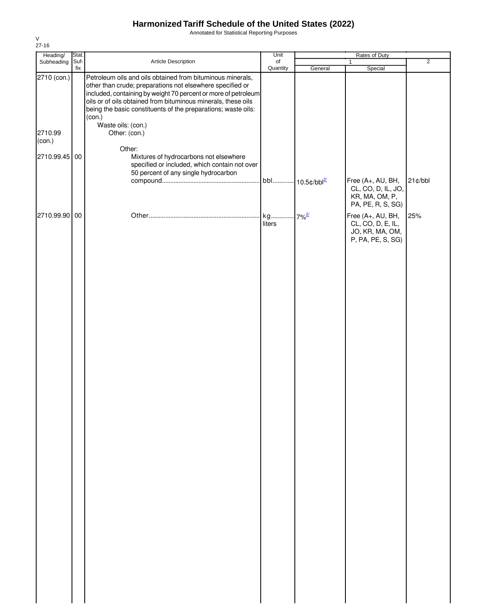Annotated for Statistical Reporting Purposes

| Heading/          | Stat.       |                                                                                                                                                                                                                                                                                                                                       | Unit           | Rates of Duty                   |                                                                                |                |
|-------------------|-------------|---------------------------------------------------------------------------------------------------------------------------------------------------------------------------------------------------------------------------------------------------------------------------------------------------------------------------------------|----------------|---------------------------------|--------------------------------------------------------------------------------|----------------|
| Subheading        | Suf-<br>fix | Article Description                                                                                                                                                                                                                                                                                                                   | of<br>Quantity | General                         | 1<br>Special                                                                   | $\overline{2}$ |
| 2710 (con.)       |             | Petroleum oils and oils obtained from bituminous minerals,<br>other than crude; preparations not elsewhere specified or<br>included, containing by weight 70 percent or more of petroleum<br>oils or of oils obtained from bituminous minerals, these oils<br>being the basic constituents of the preparations; waste oils:<br>(con.) |                |                                 |                                                                                |                |
| 2710.99<br>(con.) |             | Waste oils: (con.)<br>Other: (con.)                                                                                                                                                                                                                                                                                                   |                |                                 |                                                                                |                |
| 2710.99.45 00     |             | Other:<br>Mixtures of hydrocarbons not elsewhere<br>specified or included, which contain not over<br>50 percent of any single hydrocarbon                                                                                                                                                                                             | bbl            | $\cdot$ 10.5¢/bbl <sup>2/</sup> | Free (A+, AU, BH,<br>CL, CO, D, IL, JO,<br>KR, MA, OM, P,<br>PA, PE, R, S, SG) | $21$ ¢/bbl     |
| 2710.99.90 00     |             |                                                                                                                                                                                                                                                                                                                                       | kg<br>liters   | $.7\%$ <sup>2/</sup>            | Free (A+, AU, BH,<br>CL, CO, D, E, IL,<br>JO, KR, MA, OM,<br>P, PA, PE, S, SG) | 25%            |
|                   |             |                                                                                                                                                                                                                                                                                                                                       |                |                                 |                                                                                |                |
|                   |             |                                                                                                                                                                                                                                                                                                                                       |                |                                 |                                                                                |                |
|                   |             |                                                                                                                                                                                                                                                                                                                                       |                |                                 |                                                                                |                |
|                   |             |                                                                                                                                                                                                                                                                                                                                       |                |                                 |                                                                                |                |
|                   |             |                                                                                                                                                                                                                                                                                                                                       |                |                                 |                                                                                |                |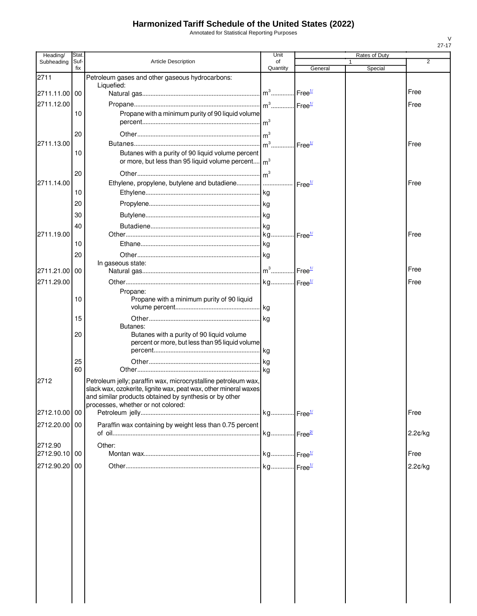Annotated for Statistical Reporting Purposes

| Heading/      | Stat.       |                                                                                                                                                                                                                                    | Unit                  |                    | Rates of Duty |         |
|---------------|-------------|------------------------------------------------------------------------------------------------------------------------------------------------------------------------------------------------------------------------------------|-----------------------|--------------------|---------------|---------|
| Subheading    | Suf-<br>fix | <b>Article Description</b>                                                                                                                                                                                                         | οf<br>Quantity        | General            | Special       | 2       |
| 2711          |             | Petroleum gases and other gaseous hydrocarbons:                                                                                                                                                                                    |                       |                    |               |         |
|               |             | Liquefied:                                                                                                                                                                                                                         |                       |                    |               | Free    |
| 2711.11.00 00 |             |                                                                                                                                                                                                                                    |                       |                    |               |         |
| 2711.12.00    |             |                                                                                                                                                                                                                                    |                       | Free <sup>1/</sup> |               | Free    |
|               | 10          | Propane with a minimum purity of 90 liquid volume                                                                                                                                                                                  |                       |                    |               |         |
|               | 20          |                                                                                                                                                                                                                                    |                       |                    |               |         |
| 2711.13.00    |             |                                                                                                                                                                                                                                    | $m3$ .                | Free <sup>1/</sup> |               | Free    |
|               | 10          | Butanes with a purity of 90 liquid volume percent<br>or more, but less than 95 liquid volume percent $\vert m^3 \vert$                                                                                                             |                       |                    |               |         |
|               | 20          |                                                                                                                                                                                                                                    | $\mathsf{Im}^3$       |                    |               |         |
| 2711.14.00    |             | Ethylene, propylene, butylene and butadiene                                                                                                                                                                                        |                       | Free <sup>1/</sup> |               | Free    |
|               | 10          |                                                                                                                                                                                                                                    |                       |                    |               |         |
|               | 20          |                                                                                                                                                                                                                                    |                       |                    |               |         |
|               | 30          |                                                                                                                                                                                                                                    |                       |                    |               |         |
|               | 40          |                                                                                                                                                                                                                                    |                       |                    |               |         |
| 2711.19.00    |             |                                                                                                                                                                                                                                    |                       | Free <sup>1/</sup> |               | Free    |
|               | 10          |                                                                                                                                                                                                                                    |                       |                    |               |         |
|               | 20          |                                                                                                                                                                                                                                    |                       |                    |               |         |
|               |             | In gaseous state:                                                                                                                                                                                                                  |                       |                    |               | Free    |
| 2711.21.00 00 |             |                                                                                                                                                                                                                                    |                       |                    |               |         |
| 2711.29.00    |             |                                                                                                                                                                                                                                    |                       |                    |               | Free    |
|               | 10          | Propane:<br>Propane with a minimum purity of 90 liquid                                                                                                                                                                             |                       |                    |               |         |
|               |             |                                                                                                                                                                                                                                    | <b>kg</b>             |                    |               |         |
|               | 15          |                                                                                                                                                                                                                                    | kg                    |                    |               |         |
|               |             | Butanes:                                                                                                                                                                                                                           |                       |                    |               |         |
|               | 20          | Butanes with a purity of 90 liquid volume<br>percent or more, but less than 95 liquid volume                                                                                                                                       |                       |                    |               |         |
|               | 25          |                                                                                                                                                                                                                                    | .lka                  |                    |               |         |
|               | 60          |                                                                                                                                                                                                                                    | .lkg                  |                    |               |         |
| 2712          |             | Petroleum jelly; paraffin wax, microcrystalline petroleum wax,<br>slack wax, ozokerite, lignite wax, peat wax, other mineral waxes<br>and similar products obtained by synthesis or by other<br>processes, whether or not colored: |                       |                    |               |         |
| 2712.10.00 00 |             |                                                                                                                                                                                                                                    |                       |                    |               | Free    |
| 2712.20.00 00 |             | Paraffin wax containing by weight less than 0.75 percent                                                                                                                                                                           |                       |                    |               |         |
|               |             |                                                                                                                                                                                                                                    | kg Free <sup>21</sup> |                    |               | 2.2¢/kg |
| 2712.90       |             | Other:                                                                                                                                                                                                                             |                       |                    |               |         |
| 2712.90.10 00 |             |                                                                                                                                                                                                                                    |                       |                    |               | Free    |
| 2712.90.20 00 |             |                                                                                                                                                                                                                                    |                       |                    |               | 2.2¢/kg |
|               |             |                                                                                                                                                                                                                                    |                       |                    |               |         |
|               |             |                                                                                                                                                                                                                                    |                       |                    |               |         |
|               |             |                                                                                                                                                                                                                                    |                       |                    |               |         |
|               |             |                                                                                                                                                                                                                                    |                       |                    |               |         |
|               |             |                                                                                                                                                                                                                                    |                       |                    |               |         |
|               |             |                                                                                                                                                                                                                                    |                       |                    |               |         |
|               |             |                                                                                                                                                                                                                                    |                       |                    |               |         |
|               |             |                                                                                                                                                                                                                                    |                       |                    |               |         |
|               |             |                                                                                                                                                                                                                                    |                       |                    |               |         |
|               |             |                                                                                                                                                                                                                                    |                       |                    |               |         |
|               |             |                                                                                                                                                                                                                                    |                       |                    |               |         |
|               |             |                                                                                                                                                                                                                                    |                       |                    |               |         |
|               |             |                                                                                                                                                                                                                                    |                       |                    |               |         |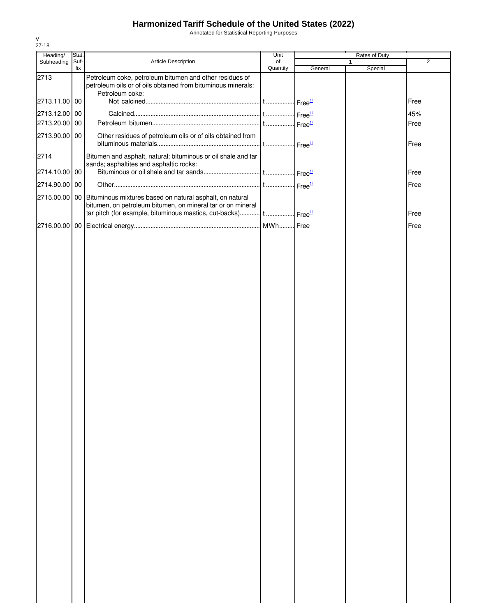Annotated for Statistical Reporting Purposes

| Heading/      | Stat.       |                                                                                                                                       | Unit           | Rates of Duty                           |              |                |
|---------------|-------------|---------------------------------------------------------------------------------------------------------------------------------------|----------------|-----------------------------------------|--------------|----------------|
| Subheading    | Suf-<br>fix | Article Description                                                                                                                   | of<br>Quantity | General                                 | 1<br>Special | $\overline{2}$ |
| 2713          |             | Petroleum coke, petroleum bitumen and other residues of<br>petroleum oils or of oils obtained from bituminous minerals:               |                |                                         |              |                |
|               |             | Petroleum coke:                                                                                                                       |                |                                         |              |                |
| 2713.11.00 00 |             |                                                                                                                                       |                |                                         |              | Free           |
| 2713.12.00 00 |             |                                                                                                                                       |                | $\cdot$ Free <sup><math>1/</math></sup> |              | 45%            |
| 2713.20.00 00 |             |                                                                                                                                       |                | $\cdot$ Free $\frac{1}{2}$              |              | Free           |
| 2713.90.00 00 |             | Other residues of petroleum oils or of oils obtained from                                                                             |                |                                         |              | Free           |
| 2714          |             | Bitumen and asphalt, natural; bituminous or oil shale and tar<br>sands; asphaltites and asphaltic rocks:                              |                |                                         |              |                |
| 2714.10.00 00 |             |                                                                                                                                       |                |                                         |              | Free           |
| 2714.90.00 00 |             |                                                                                                                                       |                |                                         |              | Free           |
|               |             | 2715.00.00 00 Bituminous mixtures based on natural asphalt, on natural<br>bitumen, on petroleum bitumen, on mineral tar or on mineral |                |                                         |              | Free           |
|               |             |                                                                                                                                       |                |                                         |              | Free           |
|               |             |                                                                                                                                       |                |                                         |              |                |
|               |             |                                                                                                                                       |                |                                         |              |                |